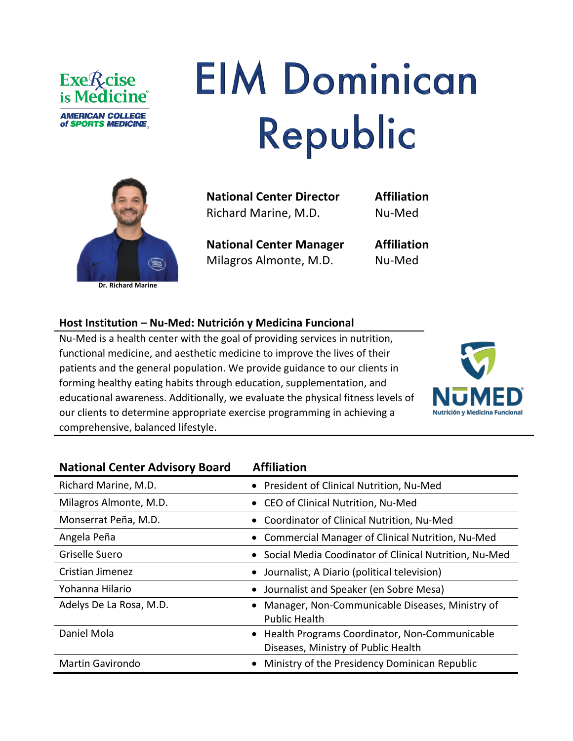

## **EIM Dominican** Republic



**National Center Director**  Richard Marine, M.D.

**Affiliation** Nu-Med

**National Center Manager** Milagros Almonte, M.D.

**Affiliation** Nu-Med

## **Host Institution – Nu-Med: Nutrición y Medicina Funcional**

Nu-Med is a health center with the goal of providing services in nutrition, functional medicine, and aesthetic medicine to improve the lives of their patients and the general population. We provide guidance to our clients in forming healthy eating habits through education, supplementation, and educational awareness. Additionally, we evaluate the physical fitness levels of our clients to determine appropriate exercise programming in achieving a comprehensive, balanced lifestyle.



| <b>National Center Advisory Board</b> | <b>Affiliation</b>                                                                     |
|---------------------------------------|----------------------------------------------------------------------------------------|
| Richard Marine, M.D.                  | President of Clinical Nutrition, Nu-Med                                                |
| Milagros Almonte, M.D.                | • CEO of Clinical Nutrition, Nu-Med                                                    |
| Monserrat Peña, M.D.                  | • Coordinator of Clinical Nutrition, Nu-Med                                            |
| Angela Peña                           | Commercial Manager of Clinical Nutrition, Nu-Med                                       |
| Griselle Suero                        | • Social Media Coodinator of Clinical Nutrition, Nu-Med                                |
| Cristian Jimenez                      | Journalist, A Diario (political television)                                            |
| Yohanna Hilario                       | • Journalist and Speaker (en Sobre Mesa)                                               |
| Adelys De La Rosa, M.D.               | Manager, Non-Communicable Diseases, Ministry of<br><b>Public Health</b>                |
| Daniel Mola                           | • Health Programs Coordinator, Non-Communicable<br>Diseases, Ministry of Public Health |
| <b>Martin Gavirondo</b>               | Ministry of the Presidency Dominican Republic                                          |